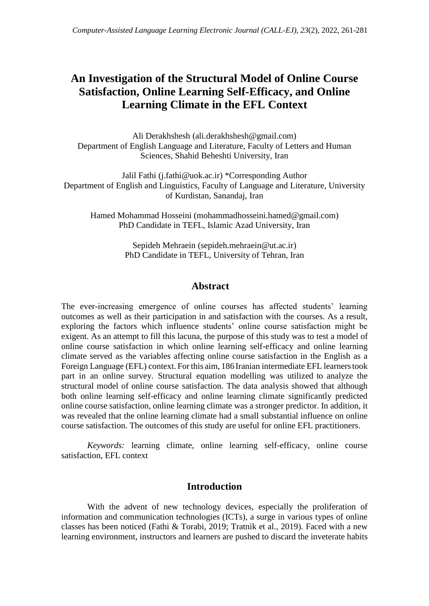## **An Investigation of the Structural Model of Online Course Satisfaction, Online Learning Self-Efficacy, and Online Learning Climate in the EFL Context**

Ali Derakhshesh [\(ali.derakhshesh@gmail.com\)](mailto:ali.derakhshesh@gmail.com) Department of English Language and Literature, Faculty of Letters and Human Sciences, Shahid Beheshti University, Iran

Jalil Fathi [\(j.fathi@uok.ac.ir\)](mailto:j.fathi@uok.ac.ir) \*Corresponding Author Department of English and Linguistics, Faculty of Language and Literature, University of Kurdistan, Sanandaj, Iran

Hamed Mohammad Hosseini (mohammadhosseini.hamed@gmail.com) PhD Candidate in TEFL, Islamic Azad University, Iran

> Sepideh Mehraein (sepideh.mehraein@ut.ac.ir) PhD Candidate in TEFL, University of Tehran, Iran

## **Abstract**

The ever-increasing emergence of online courses has affected students' learning outcomes as well as their participation in and satisfaction with the courses. As a result, exploring the factors which influence students' online course satisfaction might be exigent. As an attempt to fill this lacuna, the purpose of this study was to test a model of online course satisfaction in which online learning self-efficacy and online learning climate served as the variables affecting online course satisfaction in the English as a Foreign Language (EFL) context. Forthis aim, 186 Iranian intermediate EFL learnerstook part in an online survey. Structural equation modelling was utilized to analyze the structural model of online course satisfaction. The data analysis showed that although both online learning self-efficacy and online learning climate significantly predicted online course satisfaction, online learning climate was a stronger predictor. In addition, it was revealed that the online learning climate had a small substantial influence on online course satisfaction. The outcomes of this study are useful for online EFL practitioners.

*Keywords:* learning climate, online learning self-efficacy, online course satisfaction, EFL context

## **Introduction**

With the advent of new technology devices, especially the proliferation of information and communication technologies (ICTs), a surge in various types of online classes has been noticed (Fathi & Torabi, 2019; Tratnik et al., 2019). Faced with a new learning environment, instructors and learners are pushed to discard the inveterate habits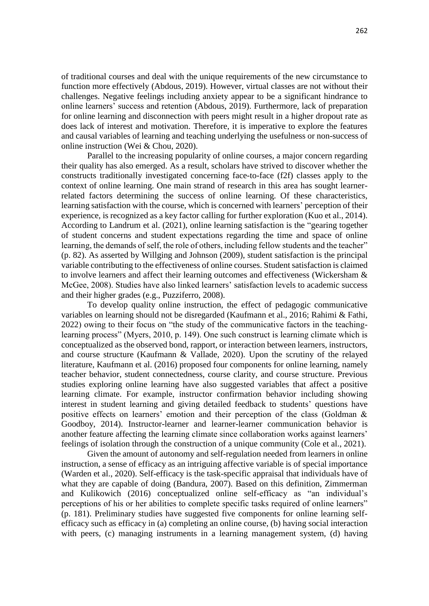of traditional courses and deal with the unique requirements of the new circumstance to function more effectively (Abdous, 2019). However, virtual classes are not without their challenges. Negative feelings including anxiety appear to be a significant hindrance to online learners' success and retention (Abdous, 2019). Furthermore, lack of preparation for online learning and disconnection with peers might result in a higher dropout rate as does lack of interest and motivation. Therefore, it is imperative to explore the features and causal variables of learning and teaching underlying the usefulness or non-success of online instruction (Wei & Chou, 2020).

Parallel to the increasing popularity of online courses, a major concern regarding their quality has also emerged. As a result, scholars have strived to discover whether the constructs traditionally investigated concerning face-to-face (f2f) classes apply to the context of online learning. One main strand of research in this area has sought learnerrelated factors determining the success of online learning. Of these characteristics, learning satisfaction with the course, which is concerned with learners' perception of their experience, is recognized as a key factor calling for further exploration (Kuo et al., 2014). According to Landrum et al. (2021), online learning satisfaction is the "gearing together of student concerns and student expectations regarding the time and space of online learning, the demands of self, the role of others, including fellow students and the teacher" (p. 82). As asserted by Willging and Johnson (2009), student satisfaction is the principal variable contributing to the effectiveness of online courses. Student satisfaction is claimed to involve learners and affect their learning outcomes and effectiveness (Wickersham & McGee, 2008). Studies have also linked learners' satisfaction levels to academic success and their higher grades (e.g., Puzziferro, 2008).

To develop quality online instruction, the effect of pedagogic communicative variables on learning should not be disregarded (Kaufmann et al., 2016; Rahimi & Fathi, 2022) owing to their focus on "the study of the communicative factors in the teachinglearning process" (Myers, 2010, p. 149). One such construct is learning climate which is conceptualized as the observed bond, rapport, or interaction between learners, instructors, and course structure (Kaufmann & Vallade, 2020). Upon the scrutiny of the relayed literature, Kaufmann et al. (2016) proposed four components for online learning, namely teacher behavior, student connectedness, course clarity, and course structure. Previous studies exploring online learning have also suggested variables that affect a positive learning climate. For example, instructor confirmation behavior including showing interest in student learning and giving detailed feedback to students' questions have positive effects on learners' emotion and their perception of the class (Goldman & Goodboy, 2014). Instructor-learner and learner-learner communication behavior is another feature affecting the learning climate since collaboration works against learners' feelings of isolation through the construction of a unique community (Cole et al., 2021).

Given the amount of autonomy and self-regulation needed from learners in online instruction, a sense of efficacy as an intriguing affective variable is of special importance (Warden et al., 2020). Self-efficacy is the task-specific appraisal that individuals have of what they are capable of doing (Bandura, 2007). Based on this definition, Zimmerman and Kulikowich (2016) conceptualized online self-efficacy as "an individual's perceptions of his or her abilities to complete specific tasks required of online learners" (p. 181). Preliminary studies have suggested five components for online learning selfefficacy such as efficacy in (a) completing an online course, (b) having social interaction with peers, (c) managing instruments in a learning management system, (d) having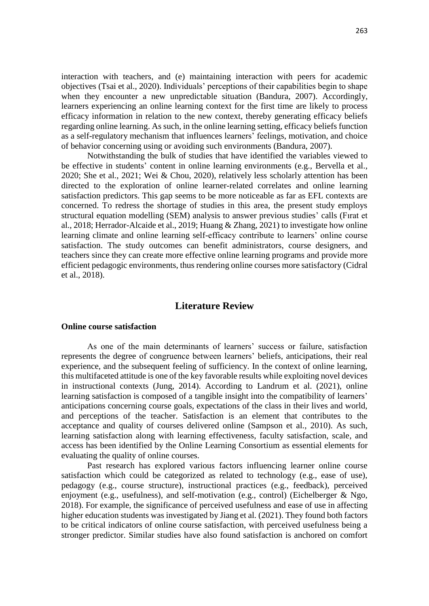interaction with teachers, and (e) maintaining interaction with peers for academic objectives (Tsai et al., 2020). Individuals' perceptions of their capabilities begin to shape when they encounter a new unpredictable situation (Bandura, 2007). Accordingly, learners experiencing an online learning context for the first time are likely to process efficacy information in relation to the new context, thereby generating efficacy beliefs regarding online learning. As such, in the online learning setting, efficacy beliefs function as a self-regulatory mechanism that influences learners' feelings, motivation, and choice of behavior concerning using or avoiding such environments (Bandura, 2007).

Notwithstanding the bulk of studies that have identified the variables viewed to be effective in students' content in online learning environments (e.g., Bervella et al., 2020; She et al., 2021; Wei & Chou, 2020), relatively less scholarly attention has been directed to the exploration of online learner-related correlates and online learning satisfaction predictors. This gap seems to be more noticeable as far as EFL contexts are concerned. To redress the shortage of studies in this area, the present study employs structural equation modelling (SEM) analysis to answer previous studies' calls (Fırat et al., 2018; Herrador-Alcaide et al., 2019; Huang & Zhang, 2021) to investigate how online learning climate and online learning self-efficacy contribute to learners' online course satisfaction. The study outcomes can benefit administrators, course designers, and teachers since they can create more effective online learning programs and provide more efficient pedagogic environments, thus rendering online courses more satisfactory (Cidral et al., 2018).

## **Literature Review**

## **Online course satisfaction**

As one of the main determinants of learners' success or failure, satisfaction represents the degree of congruence between learners' beliefs, anticipations, their real experience, and the subsequent feeling of sufficiency. In the context of online learning, this multifaceted attitude is one of the key favorable results while exploiting novel devices in instructional contexts (Jung, 2014). According to Landrum et al. (2021), online learning satisfaction is composed of a tangible insight into the compatibility of learners' anticipations concerning course goals, expectations of the class in their lives and world, and perceptions of the teacher. Satisfaction is an element that contributes to the acceptance and quality of courses delivered online (Sampson et al., 2010). As such, learning satisfaction along with learning effectiveness, faculty satisfaction, scale, and access has been identified by the Online Learning Consortium as essential elements for evaluating the quality of online courses.

Past research has explored various factors influencing learner online course satisfaction which could be categorized as related to technology (e.g., ease of use), pedagogy (e.g., course structure), instructional practices (e.g., feedback), perceived enjoyment (e.g., usefulness), and self-motivation (e.g., control) (Eichelberger & Ngo, 2018). For example, the significance of perceived usefulness and ease of use in affecting higher education students was investigated by Jiang et al. (2021). They found both factors to be critical indicators of online course satisfaction, with perceived usefulness being a stronger predictor. Similar studies have also found satisfaction is anchored on comfort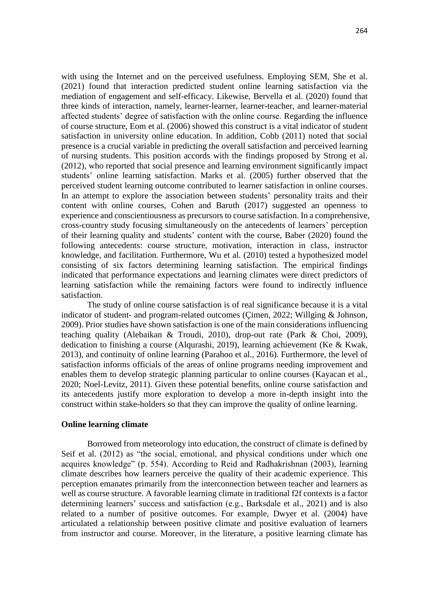with using the Internet and on the perceived usefulness. Employing SEM, She et al. (2021) found that interaction predicted student online learning satisfaction via the mediation of engagement and self-efficacy. Likewise, Bervella et al. (2020) found that three kinds of interaction, namely, learner-learner, learner-teacher, and learner-material affected students' degree of satisfaction with the online course. Regarding the influence of course structure, Eom et al. (2006) showed this construct is a vital indicator of student satisfaction in university online education. In addition, Cobb (2011) noted that social presence is a crucial variable in predicting the overall satisfaction and perceived learning of nursing students. This position accords with the findings proposed by Strong et al. (2012), who reported that social presence and learning environment significantly impact students' online learning satisfaction. Marks et al. (2005) further observed that the perceived student learning outcome contributed to learner satisfaction in online courses. In an attempt to explore the association between students' personality traits and their content with online courses, Cohen and Baruth (2017) suggested an openness to experience and conscientiousness as precursors to course satisfaction. In a comprehensive, cross-country study focusing simultaneously on the antecedents of learners' perception of their learning quality and students' content with the course, Baber (2020) found the following antecedents: course structure, motivation, interaction in class, instructor knowledge, and facilitation. Furthermore, Wu et al. (2010) tested a hypothesized model consisting of six factors determining learning satisfaction. The empirical findings indicated that performance expectations and learning climates were direct predictors of learning satisfaction while the remaining factors were found to indirectly influence satisfaction.

The study of online course satisfaction is of real significance because it is a vital indicator of student- and program-related outcomes (Çimen, 2022; Willging & Johnson, 2009). Prior studies have shown satisfaction is one of the main considerations influencing teaching quality (Alebaikan & Troudi, 2010), drop-out rate (Park & Choi, 2009), dedication to finishing a course (Alqurashi, 2019), learning achievement (Ke & Kwak, 2013), and continuity of online learning (Parahoo et al., 2016). Furthermore, the level of satisfaction informs officials of the areas of online programs needing improvement and enables them to develop strategic planning particular to online courses (Kayacan et al., 2020; Noel-Levitz, 2011). Given these potential benefits, online course satisfaction and its antecedents justify more exploration to develop a more in-depth insight into the construct within stake-holders so that they can improve the quality of online learning.

#### **Online learning climate**

Borrowed from meteorology into education, the construct of climate is defined by Seif et al. (2012) as "the social, emotional, and physical conditions under which one acquires knowledge" (p. 554). According to Reid and Radhakrishnan (2003), learning climate describes how learners perceive the quality of their academic experience. This perception emanates primarily from the interconnection between teacher and learners as well as course structure. A favorable learning climate in traditional f2f contexts is a factor determining learners' success and satisfaction (e.g., Barksdale et al., 2021) and is also related to a number of positive outcomes. For example, Dwyer et al. (2004) have articulated a relationship between positive climate and positive evaluation of learners from instructor and course. Moreover, in the literature, a positive learning climate has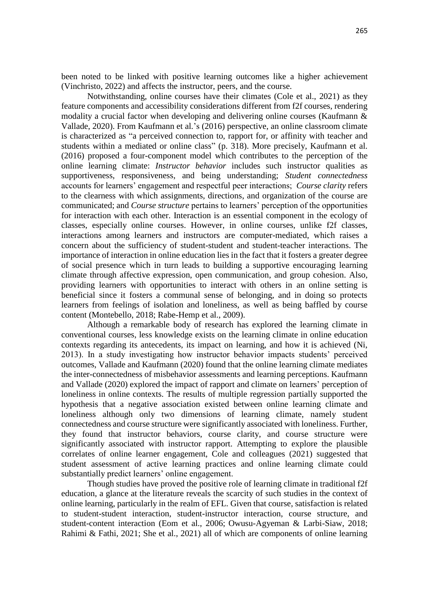been noted to be linked with positive learning outcomes like a higher achievement (Vinchristo, 2022) and affects the instructor, peers, and the course.

Notwithstanding, online courses have their climates (Cole et al., 2021) as they feature components and accessibility considerations different from f2f courses, rendering modality a crucial factor when developing and delivering online courses (Kaufmann & Vallade, 2020). From Kaufmann et al.'s (2016) perspective, an online classroom climate is characterized as "a perceived connection to, rapport for, or affinity with teacher and students within a mediated or online class" (p. 318). More precisely, Kaufmann et al. (2016) proposed a four-component model which contributes to the perception of the online learning climate: *Instructor behavior* includes such instructor qualities as supportiveness, responsiveness, and being understanding; *Student connectedness*  accounts for learners' engagement and respectful peer interactions; *Course clarity* refers to the clearness with which assignments, directions, and organization of the course are communicated; and *Course structure* pertains to learners' perception of the opportunities for interaction with each other. Interaction is an essential component in the ecology of classes, especially online courses. However, in online courses, unlike f2f classes, interactions among learners and instructors are computer-mediated, which raises a concern about the sufficiency of student-student and student-teacher interactions. The importance of interaction in online education lies in the fact that it fosters a greater degree of social presence which in turn leads to building a supportive encouraging learning climate through affective expression, open communication, and group cohesion. Also, providing learners with opportunities to interact with others in an online setting is beneficial since it fosters a communal sense of belonging, and in doing so protects learners from feelings of isolation and loneliness, as well as being baffled by course content (Montebello, 2018; Rabe-Hemp et al., 2009).

Although a remarkable body of research has explored the learning climate in conventional courses, less knowledge exists on the learning climate in online education contexts regarding its antecedents, its impact on learning, and how it is achieved (Ni, 2013). In a study investigating how instructor behavior impacts students' perceived outcomes, Vallade and Kaufmann (2020) found that the online learning climate mediates the inter-connectedness of misbehavior assessments and learning perceptions. Kaufmann and Vallade (2020) explored the impact of rapport and climate on learners' perception of loneliness in online contexts. The results of multiple regression partially supported the hypothesis that a negative association existed between online learning climate and loneliness although only two dimensions of learning climate, namely student connectedness and course structure were significantly associated with loneliness. Further, they found that instructor behaviors, course clarity, and course structure were significantly associated with instructor rapport. Attempting to explore the plausible correlates of online learner engagement, Cole and colleagues (2021) suggested that student assessment of active learning practices and online learning climate could substantially predict learners' online engagement.

Though studies have proved the positive role of learning climate in traditional f2f education, a glance at the literature reveals the scarcity of such studies in the context of online learning, particularly in the realm of EFL. Given that course, satisfaction is related to student-student interaction, student-instructor interaction, course structure, and student-content interaction (Eom et al., 2006; Owusu-Agyeman & Larbi-Siaw, 2018; Rahimi & Fathi, 2021; She et al., 2021) all of which are components of online learning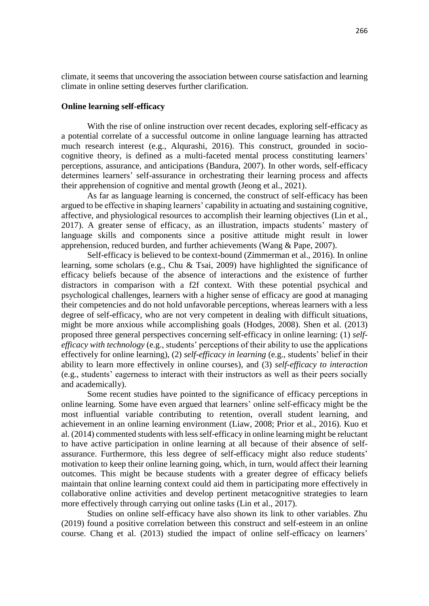climate, it seems that uncovering the association between course satisfaction and learning climate in online setting deserves further clarification.

#### **Online learning self-efficacy**

With the rise of online instruction over recent decades, exploring self-efficacy as a potential correlate of a successful outcome in online language learning has attracted much research interest (e.g., Alqurashi, 2016). This construct, grounded in sociocognitive theory, is defined as a multi-faceted mental process constituting learners' perceptions, assurance, and anticipations (Bandura, 2007). In other words, self-efficacy determines learners' self-assurance in orchestrating their learning process and affects their apprehension of cognitive and mental growth (Jeong et al., 2021).

As far as language learning is concerned, the construct of self-efficacy has been argued to be effective in shaping learners' capability in actuating and sustaining cognitive, affective, and physiological resources to accomplish their learning objectives (Lin et al., 2017). A greater sense of efficacy, as an illustration, impacts students' mastery of language skills and components since a positive attitude might result in lower apprehension, reduced burden, and further achievements (Wang & Pape, 2007).

Self-efficacy is believed to be context-bound (Zimmerman et al., 2016). In online learning, some scholars (e.g., Chu & Tsai, 2009) have highlighted the significance of efficacy beliefs because of the absence of interactions and the existence of further distractors in comparison with a f2f context. With these potential psychical and psychological challenges, learners with a higher sense of efficacy are good at managing their competencies and do not hold unfavorable perceptions, whereas learners with a less degree of self-efficacy, who are not very competent in dealing with difficult situations, might be more anxious while accomplishing goals (Hodges, 2008). Shen et al. (2013) proposed three general perspectives concerning self-efficacy in online learning: (1) *selfefficacy with technology* (e.g., students' perceptions of their ability to use the applications effectively for online learning), (2) *self-efficacy in learning* (e.g., students' belief in their ability to learn more effectively in online courses), and (3) *self-efficacy to interaction* (e.g., students' eagerness to interact with their instructors as well as their peers socially and academically).

Some recent studies have pointed to the significance of efficacy perceptions in online learning. Some have even argued that learners' online self-efficacy might be the most influential variable contributing to retention, overall student learning, and achievement in an online learning environment (Liaw, 2008; Prior et al., 2016). Kuo et al. (2014) commented students with less self-efficacy in online learning might be reluctant to have active participation in online learning at all because of their absence of selfassurance. Furthermore, this less degree of self-efficacy might also reduce students' motivation to keep their online learning going, which, in turn, would affect their learning outcomes. This might be because students with a greater degree of efficacy beliefs maintain that online learning context could aid them in participating more effectively in collaborative online activities and develop pertinent metacognitive strategies to learn more effectively through carrying out online tasks (Lin et al., 2017).

Studies on online self-efficacy have also shown its link to other variables. Zhu (2019) found a positive correlation between this construct and self-esteem in an online course. Chang et al. (2013) studied the impact of online self-efficacy on learners'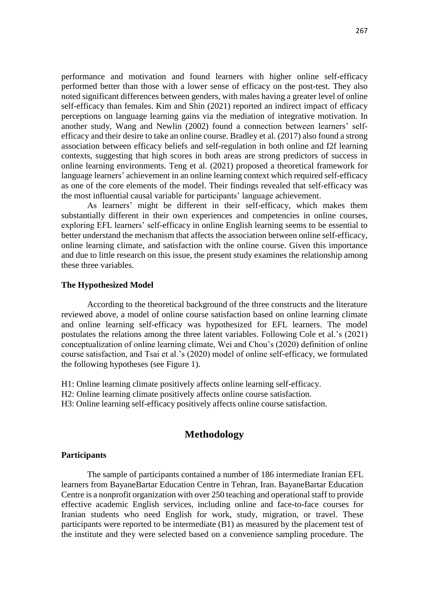performance and motivation and found learners with higher online self-efficacy performed better than those with a lower sense of efficacy on the post-test. They also noted significant differences between genders, with males having a greater level of online self-efficacy than females. Kim and Shin (2021) reported an indirect impact of efficacy perceptions on language learning gains via the mediation of integrative motivation. In another study, Wang and Newlin (2002) found a connection between learners' selfefficacy and their desire to take an online course. Bradley et al. (2017) also found a strong association between efficacy beliefs and self-regulation in both online and f2f learning contexts, suggesting that high scores in both areas are strong predictors of success in online learning environments. Teng et al. (2021) proposed a theoretical framework for language learners' achievement in an online learning context which required self-efficacy as one of the core elements of the model. Their findings revealed that self-efficacy was the most influential causal variable for participants' language achievement.

As learners' might be different in their self-efficacy, which makes them substantially different in their own experiences and competencies in online courses, exploring EFL learners' self-efficacy in online English learning seems to be essential to better understand the mechanism that affects the association between online self-efficacy, online learning climate, and satisfaction with the online course. Given this importance and due to little research on this issue, the present study examines the relationship among these three variables.

#### **The Hypothesized Model**

According to the theoretical background of the three constructs and the literature reviewed above, a model of online course satisfaction based on online learning climate and online learning self-efficacy was hypothesized for EFL learners. The model postulates the relations among the three latent variables. Following Cole et al.'s (2021) conceptualization of online learning climate, Wei and Chou's (2020) definition of online course satisfaction, and Tsai et al.'s (2020) model of online self-efficacy, we formulated the following hypotheses (see Figure 1).

H1: Online learning climate positively affects online learning self-efficacy.

H2: Online learning climate positively affects online course satisfaction.

H3: Online learning self-efficacy positively affects online course satisfaction.

## **Methodology**

#### **Participants**

The sample of participants contained a number of 186 intermediate Iranian EFL learners from BayaneBartar Education Centre in Tehran, Iran. BayaneBartar Education Centre is a nonprofit organization with over 250 teaching and operational staff to provide effective academic English services, including online and face-to-face courses for Iranian students who need English for work, study, migration, or travel. These participants were reported to be intermediate (B1) as measured by the placement test of the institute and they were selected based on a convenience sampling procedure. The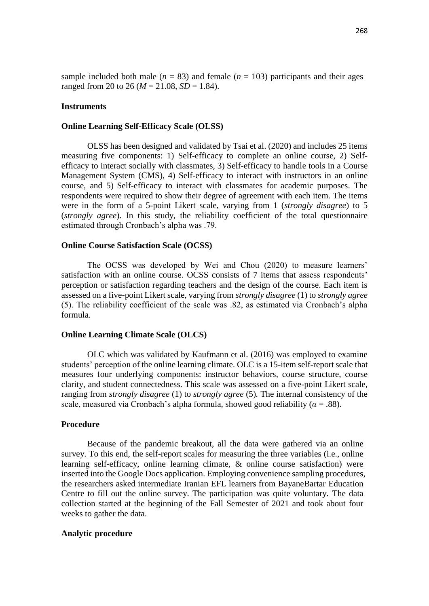sample included both male ( $n = 83$ ) and female ( $n = 103$ ) participants and their ages ranged from 20 to 26 ( $M = 21.08$ ,  $SD = 1.84$ ).

#### **Instruments**

#### **Online Learning Self-Efficacy Scale (OLSS)**

OLSS has been designed and validated by Tsai et al. (2020) and includes 25 items measuring five components: 1) Self-efficacy to complete an online course, 2) Selfefficacy to interact socially with classmates, 3) Self-efficacy to handle tools in a Course Management System (CMS), 4) Self-efficacy to interact with instructors in an online course, and 5) Self-efficacy to interact with classmates for academic purposes. The respondents were required to show their degree of agreement with each item. The items were in the form of a 5-point Likert scale, varying from 1 (*strongly disagree*) to 5 (*strongly agree*). In this study, the reliability coefficient of the total questionnaire estimated through Cronbach's alpha was .79.

#### **Online Course Satisfaction Scale (OCSS)**

The OCSS was developed by Wei and Chou (2020) to measure learners' satisfaction with an online course. OCSS consists of 7 items that assess respondents' perception or satisfaction regarding teachers and the design of the course. Each item is assessed on a five-point Likert scale, varying from *strongly disagree* (1) to *strongly agree* (5). The reliability coefficient of the scale was .82, as estimated via Cronbach's alpha formula.

#### **Online Learning Climate Scale (OLCS)**

OLC which was validated by Kaufmann et al. (2016) was employed to examine students' perception of the online learning climate. OLC is a 15-item self-report scale that measures four underlying components: instructor behaviors, course structure, course clarity, and student connectedness. This scale was assessed on a five-point Likert scale, ranging from *strongly disagree* (1) to *strongly agree* (5)*.* The internal consistency of the scale, measured via Cronbach's alpha formula, showed good reliability ( $\alpha = .88$ ).

#### **Procedure**

Because of the pandemic breakout, all the data were gathered via an online survey. To this end, the self-report scales for measuring the three variables (i.e., online learning self-efficacy, online learning climate, & online course satisfaction) were inserted into the Google Docs application. Employing convenience sampling procedures, the researchers asked intermediate Iranian EFL learners from BayaneBartar Education Centre to fill out the online survey. The participation was quite voluntary. The data collection started at the beginning of the Fall Semester of 2021 and took about four weeks to gather the data.

#### **Analytic procedure**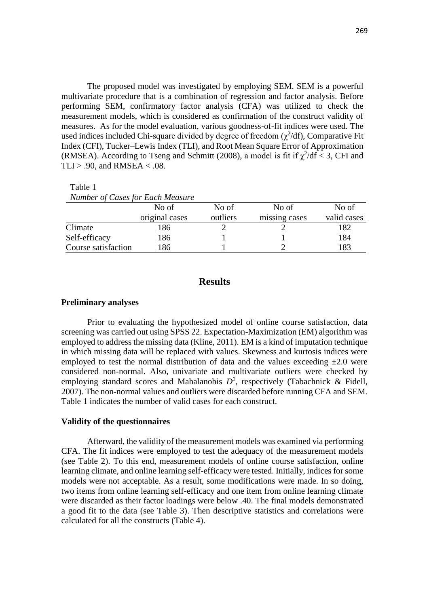The proposed model was investigated by employing SEM. SEM is a powerful multivariate procedure that is a combination of regression and factor analysis. Before performing SEM, confirmatory factor analysis (CFA) was utilized to check the measurement models, which is considered as confirmation of the construct validity of measures. As for the model evaluation, various goodness-of-fit indices were used. The used indices included Chi-square divided by degree of freedom  $(\chi^2/df)$ , Comparative Fit Index (CFI), Tucker–Lewis Index (TLI), and Root Mean Square Error of Approximation (RMSEA). According to Tseng and Schmitt (2008), a model is fit if  $\chi^2/df < 3$ , CFI and TLI > .90, and RMSEA  $<$  .08.

Table 1

| <i>INHINDER 01 Cases for Each Measure</i> |                |          |               |             |
|-------------------------------------------|----------------|----------|---------------|-------------|
|                                           | No of          | No of    | No of         | No of       |
|                                           | original cases | outliers | missing cases | valid cases |
| Climate                                   | 186            |          |               | 182         |
| Self-efficacy                             | 186            |          |               | 184         |
| Course satisfaction                       | 186            |          |               | 183         |

# *Number of Cases for Each Measure*

## **Results**

#### **Preliminary analyses**

Prior to evaluating the hypothesized model of online course satisfaction, data screening was carried out using SPSS 22. Expectation-Maximization (EM) algorithm was employed to address the missing data (Kline, 2011). EM is a kind of imputation technique in which missing data will be replaced with values. Skewness and kurtosis indices were employed to test the normal distribution of data and the values exceeding  $\pm 2.0$  were considered non-normal. Also, univariate and multivariate outliers were checked by employing standard scores and Mahalanobis  $D^2$ , respectively (Tabachnick & Fidell, 2007). The non-normal values and outliers were discarded before running CFA and SEM. Table 1 indicates the number of valid cases for each construct.

## **Validity of the questionnaires**

Afterward, the validity of the measurement models was examined via performing CFA. The fit indices were employed to test the adequacy of the measurement models (see Table 2). To this end, measurement models of online course satisfaction, online learning climate, and online learning self-efficacy were tested. Initially, indices for some models were not acceptable. As a result, some modifications were made. In so doing, two items from online learning self-efficacy and one item from online learning climate were discarded as their factor loadings were below .40. The final models demonstrated a good fit to the data (see Table 3). Then descriptive statistics and correlations were calculated for all the constructs (Table 4).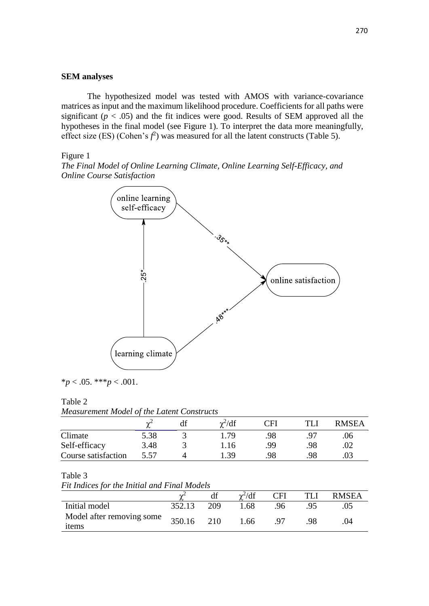## **SEM analyses**

The hypothesized model was tested with AMOS with variance-covariance matrices as input and the maximum likelihood procedure. Coefficients for all paths were significant  $(p < .05)$  and the fit indices were good. Results of SEM approved all the hypotheses in the final model (see Figure 1). To interpret the data more meaningfully, effect size (ES) (Cohen's  $f^2$ ) was measured for all the latent constructs (Table 5).

Figure 1

*The Final Model of Online Learning Climate, Online Learning Self-Efficacy, and Online Course Satisfaction*



 $*_{p}$  < .05. \*\*\**p* < .001.

#### Table 2

*Measurement Model of the Latent Constructs*

|                     | $\sim$ | $\gamma^2/df$ | CFI | <b>RMSEA</b> |
|---------------------|--------|---------------|-----|--------------|
| Climate             | 5.38   | i 79          | 98  | .06          |
| Self-efficacy       | 3.48   | I. 16         | QQ  |              |
| Course satisfaction | 5.57   | -39           | 98  |              |

#### Table 3

*Fit Indices for the Initial and Final Models*

|                                    |        |     | $\gamma^2/df$ | CFI | TLI | <b>RMSEA</b> |
|------------------------------------|--------|-----|---------------|-----|-----|--------------|
| Initial model                      | 352.13 | 209 | .68           | 96  |     |              |
| Model after removing some<br>items | 350.16 | 210 | 1.66          | -97 |     |              |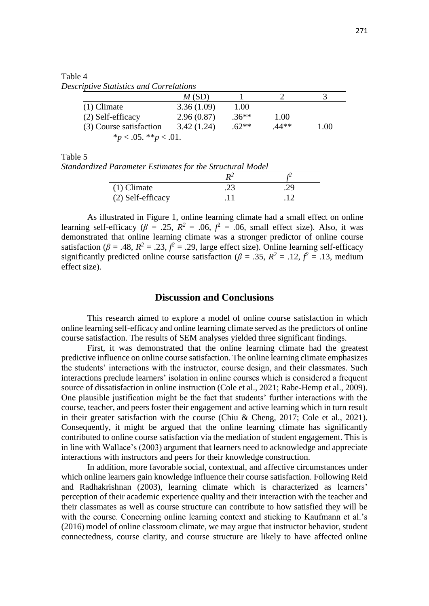Table 4

*Descriptive Statistics and Correlations* 

|                              | M(SD)      |         |       |      |  |
|------------------------------|------------|---------|-------|------|--|
| $(1)$ Climate                | 3.36(1.09) | 1.00    |       |      |  |
| (2) Self-efficacy            | 2.96(0.87) | $.36**$ | 1.00  |      |  |
| (3) Course satisfaction      | 3.42(1.24) | $62**$  | .44** | 1.00 |  |
| * $p < .05$ . ** $p < .01$ . |            |         |       |      |  |

Table 5

*Standardized Parameter Estimates for the Structural Model*

| $(1)$ Climate     | . |  |
|-------------------|---|--|
| (2) Self-efficacy |   |  |

As illustrated in Figure 1, online learning climate had a small effect on online learning self-efficacy ( $\beta$  = .25,  $R^2$  = .06,  $f^2$  = .06, small effect size). Also, it was demonstrated that online learning climate was a stronger predictor of online course satisfaction ( $\beta = .48$ ,  $R^2 = .23$ ,  $\beta = .29$ , large effect size). Online learning self-efficacy significantly predicted online course satisfaction ( $\beta = .35$ ,  $R^2 = .12$ ,  $\beta^2 = .13$ , medium effect size).

## **Discussion and Conclusions**

This research aimed to explore a model of online course satisfaction in which online learning self-efficacy and online learning climate served as the predictors of online course satisfaction. The results of SEM analyses yielded three significant findings.

First, it was demonstrated that the online learning climate had the greatest predictive influence on online course satisfaction. The online learning climate emphasizes the students' interactions with the instructor, course design, and their classmates. Such interactions preclude learners' isolation in online courses which is considered a frequent source of dissatisfaction in online instruction (Cole et al., 2021; Rabe-Hemp et al., 2009). One plausible justification might be the fact that students' further interactions with the course, teacher, and peers foster their engagement and active learning which in turn result in their greater satisfaction with the course (Chiu & Cheng, 2017; Cole et al., 2021). Consequently, it might be argued that the online learning climate has significantly contributed to online course satisfaction via the mediation of student engagement. This is in line with Wallace's (2003) argument that learners need to acknowledge and appreciate interactions with instructors and peers for their knowledge construction.

In addition, more favorable social, contextual, and affective circumstances under which online learners gain knowledge influence their course satisfaction. Following Reid and Radhakrishnan (2003), learning climate which is characterized as learners' perception of their academic experience quality and their interaction with the teacher and their classmates as well as course structure can contribute to how satisfied they will be with the course. Concerning online learning context and sticking to Kaufmann et al.'s (2016) model of online classroom climate, we may argue that instructor behavior, student connectedness, course clarity, and course structure are likely to have affected online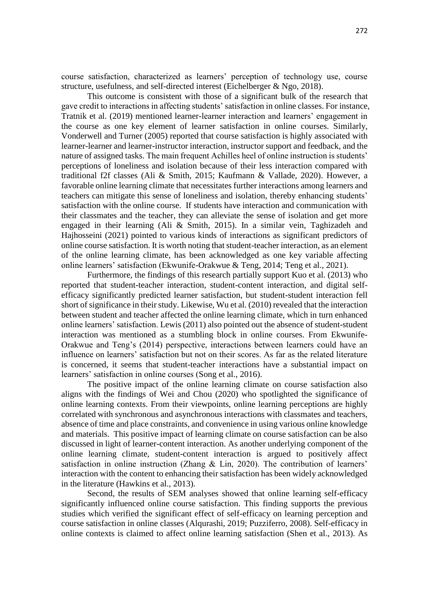course satisfaction, characterized as learners' perception of technology use, course structure, usefulness, and self-directed interest (Eichelberger & Ngo, 2018).

This outcome is consistent with those of a significant bulk of the research that gave credit to interactions in affecting students' satisfaction in online classes. For instance, Tratnik et al. (2019) mentioned learner-learner interaction and learners' engagement in the course as one key element of learner satisfaction in online courses. Similarly, Vonderwell and Turner (2005) reported that course satisfaction is highly associated with learner-learner and learner-instructor interaction, instructor support and feedback, and the nature of assigned tasks. The main frequent Achilles heel of online instruction is students' perceptions of loneliness and isolation because of their less interaction compared with traditional f2f classes (Ali & Smith, 2015; Kaufmann & Vallade, 2020). However, a favorable online learning climate that necessitates further interactions among learners and teachers can mitigate this sense of loneliness and isolation, thereby enhancing students' satisfaction with the online course. If students have interaction and communication with their classmates and the teacher, they can alleviate the sense of isolation and get more engaged in their learning (Ali & Smith, 2015). In a similar vein, Taghizadeh and Hajhosseini (2021) pointed to various kinds of interactions as significant predictors of online course satisfaction. It is worth noting that student-teacher interaction, as an element of the online learning climate, has been acknowledged as one key variable affecting online learners' satisfaction (Ekwunife-Orakwue & Teng, 2014; Teng et al., 2021).

Furthermore, the findings of this research partially support Kuo et al. (2013) who reported that student-teacher interaction, student-content interaction, and digital selfefficacy significantly predicted learner satisfaction, but student-student interaction fell short of significance in their study. Likewise, Wu et al. (2010) revealed that the interaction between student and teacher affected the online learning climate, which in turn enhanced online learners' satisfaction. Lewis (2011) also pointed out the absence of student-student interaction was mentioned as a stumbling block in online courses. From Ekwunife-Orakwue and Teng's (2014) perspective, interactions between learners could have an influence on learners' satisfaction but not on their scores. As far as the related literature is concerned, it seems that student-teacher interactions have a substantial impact on learners' satisfaction in online courses (Song et al., 2016).

The positive impact of the online learning climate on course satisfaction also aligns with the findings of Wei and Chou (2020) who spotlighted the significance of online learning contexts. From their viewpoints, online learning perceptions are highly correlated with synchronous and asynchronous interactions with classmates and teachers, absence of time and place constraints, and convenience in using various online knowledge and materials. This positive impact of learning climate on course satisfaction can be also discussed in light of learner-content interaction. As another underlying component of the online learning climate, student-content interaction is argued to positively affect satisfaction in online instruction (Zhang & Lin, 2020). The contribution of learners' interaction with the content to enhancing their satisfaction has been widely acknowledged in the literature (Hawkins et al., 2013).

Second, the results of SEM analyses showed that online learning self-efficacy significantly influenced online course satisfaction. This finding supports the previous studies which verified the significant effect of self-efficacy on learning perception and course satisfaction in online classes (Alqurashi, 2019; Puzziferro, 2008). Self-efficacy in online contexts is claimed to affect online learning satisfaction (Shen et al., 2013). As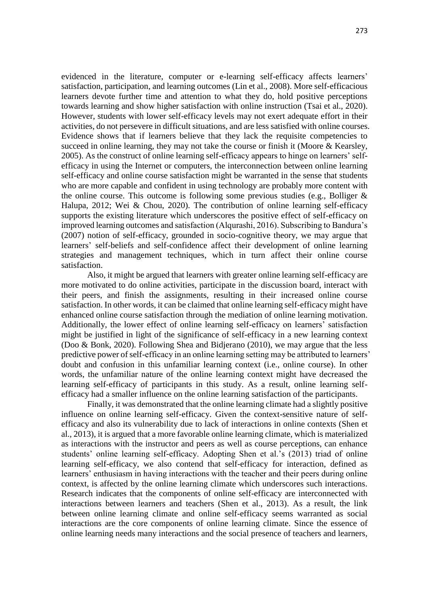evidenced in the literature, computer or e-learning self-efficacy affects learners' satisfaction, participation, and learning outcomes (Lin et al., 2008). More self-efficacious learners devote further time and attention to what they do, hold positive perceptions towards learning and show higher satisfaction with online instruction (Tsai et al., 2020). However, students with lower self-efficacy levels may not exert adequate effort in their activities, do not persevere in difficult situations, and are less satisfied with online courses. Evidence shows that if learners believe that they lack the requisite competencies to succeed in online learning, they may not take the course or finish it (Moore & Kearsley, 2005). As the construct of online learning self-efficacy appears to hinge on learners' selfefficacy in using the Internet or computers, the interconnection between online learning self-efficacy and online course satisfaction might be warranted in the sense that students who are more capable and confident in using technology are probably more content with the online course. This outcome is following some previous studies (e.g., Bolliger  $\&$ Halupa, 2012; Wei & Chou, 2020). The contribution of online learning self-efficacy supports the existing literature which underscores the positive effect of self-efficacy on improved learning outcomes and satisfaction (Alqurashi, 2016). Subscribing to Bandura's (2007) notion of self-efficacy, grounded in socio-cognitive theory, we may argue that learners' self-beliefs and self-confidence affect their development of online learning strategies and management techniques, which in turn affect their online course satisfaction.

Also, it might be argued that learners with greater online learning self-efficacy are more motivated to do online activities, participate in the discussion board, interact with their peers, and finish the assignments, resulting in their increased online course satisfaction. In other words, it can be claimed that online learning self-efficacy might have enhanced online course satisfaction through the mediation of online learning motivation. Additionally, the lower effect of online learning self-efficacy on learners' satisfaction might be justified in light of the significance of self-efficacy in a new learning context (Doo & Bonk, 2020). Following Shea and Bidjerano (2010), we may argue that the less predictive power of self-efficacy in an online learning setting may be attributed to learners' doubt and confusion in this unfamiliar learning context (i.e., online course). In other words, the unfamiliar nature of the online learning context might have decreased the learning self-efficacy of participants in this study. As a result, online learning selfefficacy had a smaller influence on the online learning satisfaction of the participants.

Finally, it was demonstrated that the online learning climate had a slightly positive influence on online learning self-efficacy. Given the context-sensitive nature of selfefficacy and also its vulnerability due to lack of interactions in online contexts (Shen et al., 2013), it is argued that a more favorable online learning climate, which is materialized as interactions with the instructor and peers as well as course perceptions, can enhance students' online learning self-efficacy. Adopting Shen et al.'s (2013) triad of online learning self-efficacy, we also contend that self-efficacy for interaction, defined as learners' enthusiasm in having interactions with the teacher and their peers during online context, is affected by the online learning climate which underscores such interactions. Research indicates that the components of online self-efficacy are interconnected with interactions between learners and teachers (Shen et al., 2013). As a result, the link between online learning climate and online self-efficacy seems warranted as social interactions are the core components of online learning climate. Since the essence of online learning needs many interactions and the social presence of teachers and learners,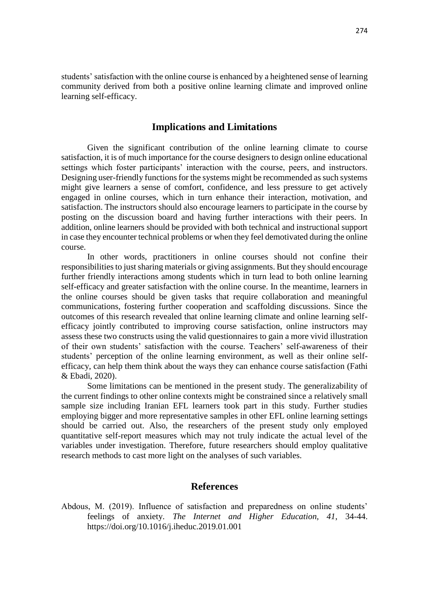students' satisfaction with the online course is enhanced by a heightened sense of learning community derived from both a positive online learning climate and improved online learning self-efficacy.

## **Implications and Limitations**

Given the significant contribution of the online learning climate to course satisfaction, it is of much importance for the course designers to design online educational settings which foster participants' interaction with the course, peers, and instructors. Designing user-friendly functions for the systems might be recommended as such systems might give learners a sense of comfort, confidence, and less pressure to get actively engaged in online courses, which in turn enhance their interaction, motivation, and satisfaction. The instructors should also encourage learners to participate in the course by posting on the discussion board and having further interactions with their peers. In addition, online learners should be provided with both technical and instructional support in case they encounter technical problems or when they feel demotivated during the online course.

In other words, practitioners in online courses should not confine their responsibilities to just sharing materials or giving assignments. But they should encourage further friendly interactions among students which in turn lead to both online learning self-efficacy and greater satisfaction with the online course. In the meantime, learners in the online courses should be given tasks that require collaboration and meaningful communications, fostering further cooperation and scaffolding discussions. Since the outcomes of this research revealed that online learning climate and online learning selfefficacy jointly contributed to improving course satisfaction, online instructors may assess these two constructs using the valid questionnaires to gain a more vivid illustration of their own students' satisfaction with the course. Teachers' self-awareness of their students' perception of the online learning environment, as well as their online selfefficacy, can help them think about the ways they can enhance course satisfaction (Fathi & Ebadi, 2020).

Some limitations can be mentioned in the present study. The generalizability of the current findings to other online contexts might be constrained since a relatively small sample size including Iranian EFL learners took part in this study. Further studies employing bigger and more representative samples in other EFL online learning settings should be carried out. Also, the researchers of the present study only employed quantitative self-report measures which may not truly indicate the actual level of the variables under investigation. Therefore, future researchers should employ qualitative research methods to cast more light on the analyses of such variables.

## **References**

Abdous, M. (2019). Influence of satisfaction and preparedness on online students' feelings of anxiety. *The Internet and Higher Education, 41*, 34-44. <https://doi.org/10.1016/j.iheduc.2019.01.001>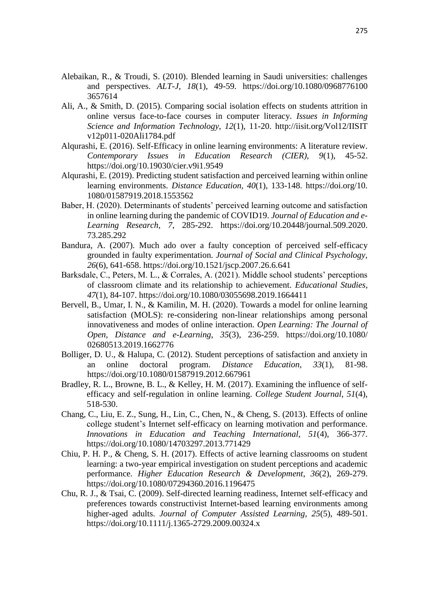- Alebaikan, R., & Troudi, S. (2010). Blended learning in Saudi universities: challenges and perspectives. *ALT-J, 18*(1), 49-59. [https://doi.org/10.1080/0968776100](https://doi.org/10.1080/0968776100%203657614)  [3657614](https://doi.org/10.1080/0968776100%203657614)
- Ali, A., & Smith, D. (2015). Comparing social isolation effects on students attrition in online versus face-to-face courses in computer literacy. *Issues in Informing Science and Information Technology*, *12*(1), 11-20. http://iisit.org/Vol12/IISIT v12p011-020Ali1784.pdf
- Alqurashi, E. (2016). Self-Efficacy in online learning environments: A literature review. *Contemporary Issues in Education Research (CIER), 9*(1), 45-52. <https://doi.org/10.19030/cier.v9i1.9549>
- Alqurashi, E. (2019). Predicting student satisfaction and perceived learning within online learning environments. *Distance Education, 40*(1), 133-148. https://doi.org/10. 1080/01587919.2018.1553562
- Baber, H. (2020). Determinants of students' perceived learning outcome and satisfaction in online learning during the pandemic of COVID19. *Journal of Education and e-Learning Research, 7*, 285-292. [https://doi.org/10.20448/journal.509.2020.](https://doi.org/10.20448/journal.509.2020.%2073.285.292)  [73.285.292](https://doi.org/10.20448/journal.509.2020.%2073.285.292)
- Bandura, A. (2007). Much ado over a faulty conception of perceived self-efficacy grounded in faulty experimentation. *Journal of Social and Clinical Psychology, 26*(6), 641-658.<https://doi.org/10.1521/jscp.2007.26.6.641>
- Barksdale, C., Peters, M. L., & Corrales, A. (2021). Middle school students' perceptions of classroom climate and its relationship to achievement. *Educational Studies, 47*(1), 84-107.<https://doi.org/10.1080/03055698.2019.1664411>
- Bervell, B., Umar, I. N., & Kamilin, M. H. (2020). Towards a model for online learning satisfaction (MOLS): re-considering non-linear relationships among personal innovativeness and modes of online interaction. *Open Learning: The Journal of Open, Distance and e-Learning*, *35*(3), 236-259. [https://doi.org/10.1080/](https://doi.org/10.1080/%2002680513.2019.1662776)  [02680513.2019.1662776](https://doi.org/10.1080/%2002680513.2019.1662776)
- Bolliger, D. U., & Halupa, C. (2012). Student perceptions of satisfaction and anxiety in an online doctoral program. *Distance Education*, *33*(1), 81-98. https://doi.org/10.1080/01587919.2012.667961
- Bradley, R. L., Browne, B. L., & Kelley, H. M. (2017). Examining the influence of selfefficacy and self-regulation in online learning. *College Student Journal*, *51*(4), 518-530.
- Chang, C., Liu, E. Z., Sung, H., Lin, C., Chen, N., & Cheng, S. (2013). Effects of online college student's Internet self-efficacy on learning motivation and performance. *Innovations in Education and Teaching International, 51*(4), 366-377. <https://doi.org/10.1080/14703297.2013.771429>
- Chiu, P. H. P., & Cheng, S. H. (2017). Effects of active learning classrooms on student learning: a two-year empirical investigation on student perceptions and academic performance. *Higher Education Research & Development*, *36*(2), 269-279. https://doi.org/10.1080/07294360.2016.1196475
- Chu, R. J., & Tsai, C. (2009). Self-directed learning readiness, Internet self-efficacy and preferences towards constructivist Internet-based learning environments among higher-aged adults. *Journal of Computer Assisted Learning, 25*(5), 489-501. <https://doi.org/10.1111/j.1365-2729.2009.00324.x>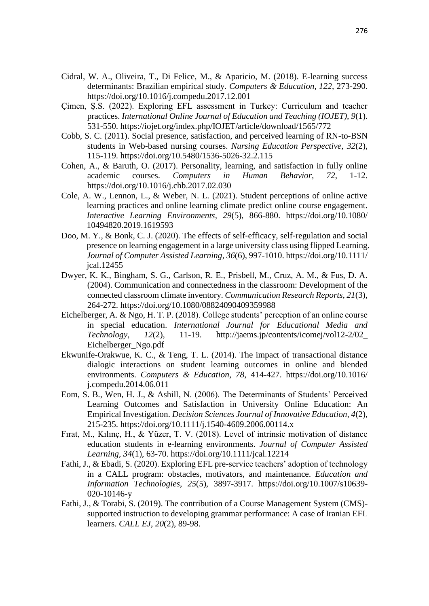- Cidral, W. A., Oliveira, T., Di Felice, M., & Aparicio, M. (2018). E-learning success determinants: Brazilian empirical study. *Computers & Education, 122*, 273-290. <https://doi.org/10.1016/j.compedu.2017.12.001>
- Çimen, Ş.S. (2022). Exploring EFL assessment in Turkey: Curriculum and teacher practices. *International Online Journal of Education and Teaching (IOJET), 9*(1). 531-550. https://iojet.org/index.php/IOJET/article/download/1565/772
- Cobb, S. C. (2011). Social presence, satisfaction, and perceived learning of RN-to-BSN students in Web-based nursing courses. *Nursing Education Perspective, 32*(2), 115-119.<https://doi.org/10.5480/1536-5026-32.2.115>
- Cohen, A., & Baruth, O. (2017). Personality, learning, and satisfaction in fully online academic courses. *Computers in Human Behavior, 72*, 1-12. <https://doi.org/10.1016/j.chb.2017.02.030>
- Cole, A. W., Lennon, L., & Weber, N. L. (2021). Student perceptions of online active learning practices and online learning climate predict online course engagement. *Interactive Learning Environments, 29*(5), 866-880. [https://doi.org/10.1080/](https://doi.org/10.1080/%2010494820.2019.1619593)  [10494820.2019.1619593](https://doi.org/10.1080/%2010494820.2019.1619593)
- Doo, M. Y., & Bonk, C. J. (2020). The effects of self-efficacy, self-regulation and social presence on learning engagement in a large university class using flipped Learning. *Journal of Computer Assisted Learning*, *36*(6), 997-1010. https://doi.org/10.1111/ jcal.12455
- Dwyer, K. K., Bingham, S. G., Carlson, R. E., Prisbell, M., Cruz, A. M., & Fus, D. A. (2004). Communication and connectedness in the classroom: Development of the connected classroom climate inventory. *Communication Research Reports, 21*(3), 264-272.<https://doi.org/10.1080/08824090409359988>
- Eichelberger, A. & Ngo, H. T. P. (2018). College students' perception of an online course in special education. *International Journal for Educational Media and Technology, 12*(2), 11-19. [http://jaems.jp/contents/icomej/vol12-2/02\\_](http://jaems.jp/contents/icomej/vol12-2/02_%20Eichelberger_Ngo.pdf)  [Eichelberger\\_Ngo.pdf](http://jaems.jp/contents/icomej/vol12-2/02_%20Eichelberger_Ngo.pdf)
- Ekwunife-Orakwue, K. C., & Teng, T. L. (2014). The impact of transactional distance dialogic interactions on student learning outcomes in online and blended environments. *Computers & Education*, *78*, 414-427. https://doi.org/10.1016/ j.compedu.2014.06.011
- Eom, S. B., Wen, H. J., & Ashill, N. (2006). The Determinants of Students' Perceived Learning Outcomes and Satisfaction in University Online Education: An Empirical Investigation. *Decision Sciences Journal of Innovative Education, 4*(2), 215-235.<https://doi.org/10.1111/j.1540-4609.2006.00114.x>
- Fırat, M., Kılınç, H., & Yüzer, T. V. (2018). Level of intrinsic motivation of distance education students in e-learning environments. *Journal of Computer Assisted Learning, 34*(1), 63-70.<https://doi.org/10.1111/jcal.12214>
- Fathi, J., & Ebadi, S. (2020). Exploring EFL pre-service teachers' adoption of technology in a CALL program: obstacles, motivators, and maintenance. *Education and Information Technologies*, *25*(5), 3897-3917. https://doi.org/10.1007/s10639- 020-10146-y
- Fathi, J., & Torabi, S. (2019). The contribution of a Course Management System (CMS) supported instruction to developing grammar performance: A case of Iranian EFL learners. *CALL EJ*, *20*(2), 89-98.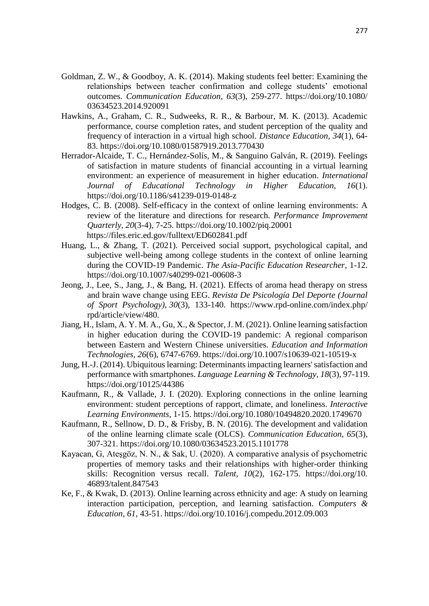- Goldman, Z. W., & Goodboy, A. K. (2014). Making students feel better: Examining the relationships between teacher confirmation and college students' emotional outcomes. *Communication Education, 63*(3), 259-277. [https://doi.org/10.1080/](https://doi.org/10.1080/%2003634523.2014.920091)  [03634523.2014.920091](https://doi.org/10.1080/%2003634523.2014.920091)
- Hawkins, A., Graham, C. R., Sudweeks, R. R., & Barbour, M. K. (2013). Academic performance, course completion rates, and student perception of the quality and frequency of interaction in a virtual high school. *Distance Education*, *34*(1), 64- 83. https://doi.org/10.1080/01587919.2013.770430
- Herrador-Alcaide, T. C., Hernández-Solís, M., & Sanguino Galván, R. (2019). Feelings of satisfaction in mature students of financial accounting in a virtual learning environment: an experience of measurement in higher education. *International Journal of Educational Technology in Higher Education, 16*(1). <https://doi.org/10.1186/s41239-019-0148-z>
- Hodges, C. B. (2008). Self-efficacy in the context of online learning environments: A review of the literature and directions for research. *Performance Improvement Quarterly, 20*(3-4), 7-25.<https://doi.org/10.1002/piq.20001> <https://files.eric.ed.gov/fulltext/ED602841.pdf>
- Huang, L., & Zhang, T. (2021). Perceived social support, psychological capital, and subjective well-being among college students in the context of online learning during the COVID-19 Pandemic. *The Asia-Pacific Education Researcher*, 1-12. https://doi.org/10.1007/s40299-021-00608-3
- Jeong, J., Lee, S., Jang, J., & Bang, H. (2021). Effects of aroma head therapy on stress and brain wave change using EEG. *Revista De Psicología Del Deporte (Journal of Sport Psychology), 30*(3), 133-140. https://www.rpd-online.com/index.php/ rpd/article/view/480.
- Jiang, H., Islam, A. Y. M. A., Gu, X., & Spector, J. M. (2021). Online learning satisfaction in higher education during the COVID-19 pandemic: A regional comparison between Eastern and Western Chinese universities. *Education and Information Technologies, 26*(6), 6747-6769.<https://doi.org/10.1007/s10639-021-10519-x>
- Jung, H.-J. (2014). Ubiquitous learning: Determinants impacting learners' satisfaction and performance with smartphones. *Language Learning & Technology, 18*(3), 97-119. <https://doi.org/10125/44386>
- Kaufmann, R., & Vallade, J. I. (2020). Exploring connections in the online learning environment: student perceptions of rapport, climate, and loneliness. *Interactive Learning Environments*, 1-15.<https://doi.org/10.1080/10494820.2020.1749670>
- Kaufmann, R., Sellnow, D. D., & Frisby, B. N. (2016). The development and validation of the online learning climate scale (OLCS). *Communication Education, 65*(3), 307-321.<https://doi.org/10.1080/03634523.2015.1101778>
- Kayacan, G, Ateşgöz, N. N., & Sak, U. (2020). A comparative analysis of psychometric properties of memory tasks and their relationships with higher-order thinking skills: Recognition versus recall. *Talent, 10*(2), 162-175. https://doi.org/10. 46893/talent.847543
- Ke, F., & Kwak, D. (2013). Online learning across ethnicity and age: A study on learning interaction participation, perception, and learning satisfaction. *Computers & Education, 61*, 43-51.<https://doi.org/10.1016/j.compedu.2012.09.003>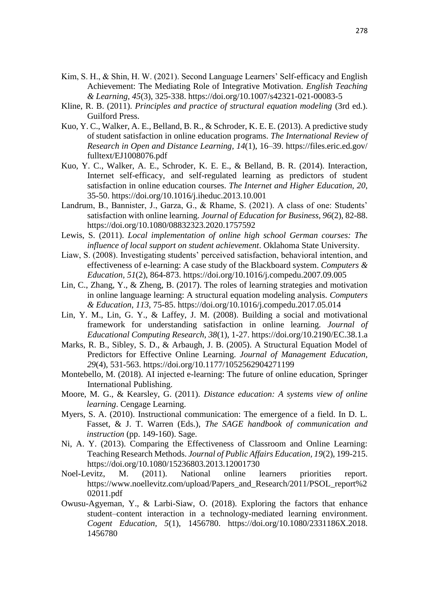- Kim, S. H., & Shin, H. W. (2021). Second Language Learners' Self-efficacy and English Achievement: The Mediating Role of Integrative Motivation. *English Teaching & Learning, 45*(3), 325-338.<https://doi.org/10.1007/s42321-021-00083-5>
- Kline, R. B. (2011). *Principles and practice of structural equation modeling* (3rd ed.). Guilford Press.
- Kuo, Y. C., Walker, A. E., Belland, B. R., & Schroder, K. E. E. (2013). A predictive study of student satisfaction in online education programs. *The International Review of Research in Open and Distance Learning, 14*(1), 16–39. https://files.eric.ed.gov/ fulltext/EJ1008076.pdf
- Kuo, Y. C., Walker, A. E., Schroder, K. E. E., & Belland, B. R. (2014). Interaction, Internet self-efficacy, and self-regulated learning as predictors of student satisfaction in online education courses. *The Internet and Higher Education, 20*, 35-50.<https://doi.org/10.1016/j.iheduc.2013.10.001>
- Landrum, B., Bannister, J., Garza, G., & Rhame, S. (2021). A class of one: Students' satisfaction with online learning. *Journal of Education for Business, 96*(2), 82-88. <https://doi.org/10.1080/08832323.2020.1757592>
- Lewis, S. (2011). *Local implementation of online high school German courses: The influence of local support on student achievement*. Oklahoma State University.
- Liaw, S. (2008). Investigating students' perceived satisfaction, behavioral intention, and effectiveness of e-learning: A case study of the Blackboard system. *Computers & Education, 51*(2), 864-873.<https://doi.org/10.1016/j.compedu.2007.09.005>
- Lin, C., Zhang, Y., & Zheng, B. (2017). The roles of learning strategies and motivation in online language learning: A structural equation modeling analysis. *Computers & Education, 113*, 75-85.<https://doi.org/10.1016/j.compedu.2017.05.014>
- Lin, Y. M., Lin, G. Y., & Laffey, J. M. (2008). Building a social and motivational framework for understanding satisfaction in online learning. *Journal of Educational Computing Research*, *38*(1), 1-27. https://doi.org/10.2190/EC.38.1.a
- Marks, R. B., Sibley, S. D., & Arbaugh, J. B. (2005). A Structural Equation Model of Predictors for Effective Online Learning. *Journal of Management Education, 29*(4), 531-563.<https://doi.org/10.1177/1052562904271199>
- Montebello, M. (2018). AI injected e-learning: The future of online education, Springer International Publishing.
- Moore, M. G., & Kearsley, G. (2011). *Distance education: A systems view of online learning*. Cengage Learning.
- Myers, S. A. (2010). Instructional communication: The emergence of a field. In D. L. Fasset, & J. T. Warren (Eds.), *The SAGE handbook of communication and instruction* (pp. 149-160). Sage.
- Ni, A. Y. (2013). Comparing the Effectiveness of Classroom and Online Learning: Teaching Research Methods. *Journal of Public Affairs Education, 19*(2), 199-215. <https://doi.org/10.1080/15236803.2013.12001730>
- Noel-Levitz, M. (2011). National online learners priorities report. [https://www.noellevitz.com/upload/Papers\\_and\\_Research/2011/PSOL\\_report%2](https://www.noellevitz.com/upload/Papers_and_Research/2011/PSOL_report%202011.pdf) [02011.pdf](https://www.noellevitz.com/upload/Papers_and_Research/2011/PSOL_report%202011.pdf)
- Owusu-Agyeman, Y., & Larbi-Siaw, O. (2018). Exploring the factors that enhance student–content interaction in a technology-mediated learning environment. *Cogent Education, 5*(1), 1456780. [https://doi.org/10.1080/2331186X.2018.](https://doi.org/10.1080/2331186X.2018.%201456780)  [1456780](https://doi.org/10.1080/2331186X.2018.%201456780)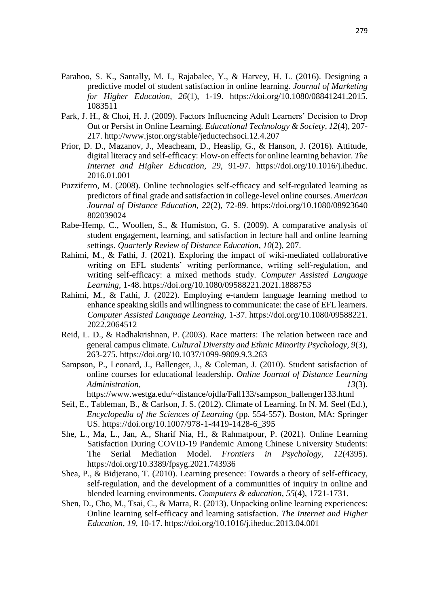- Parahoo, S. K., Santally, M. I., Rajabalee, Y., & Harvey, H. L. (2016). Designing a predictive model of student satisfaction in online learning. *Journal of Marketing for Higher Education, 26*(1), 1-19. https://doi.org/10.1080/08841241.2015. 1083511
- Park, J. H., & Choi, H. J. (2009). Factors Influencing Adult Learners' Decision to Drop Out or Persist in Online Learning. *Educational Technology & Society, 12*(4), 207- 217.<http://www.jstor.org/stable/jeductechsoci.12.4.207>
- Prior, D. D., Mazanov, J., Meacheam, D., Heaslip, G., & Hanson, J. (2016). Attitude, digital literacy and self-efficacy: Flow-on effects for online learning behavior. *The Internet and Higher Education, 29*, 91-97. https://doi.org/10.1016/j.iheduc. 2016.01.001
- Puzziferro, M. (2008). Online technologies self-efficacy and self-regulated learning as predictors of final grade and satisfaction in college-level online courses. *American Journal of Distance Education, 22*(2), 72-89. https://doi.org/10.1080/08923640 802039024
- Rabe-Hemp, C., Woollen, S., & Humiston, G. S. (2009). A comparative analysis of student engagement, learning, and satisfaction in lecture hall and online learning settings. *Quarterly Review of Distance Education*, *10*(2), 207.
- Rahimi, M., & Fathi, J. (2021). Exploring the impact of wiki-mediated collaborative writing on EFL students' writing performance, writing self-regulation, and writing self-efficacy: a mixed methods study. *Computer Assisted Language Learning*, 1-48. https://doi.org/10.1080/09588221.2021.1888753
- Rahimi, M., & Fathi, J. (2022). Employing e-tandem language learning method to enhance speaking skills and willingness to communicate: the case of EFL learners. *Computer Assisted Language Learning*, 1-37. https://doi.org/10.1080/09588221. 2022.2064512
- Reid, L. D., & Radhakrishnan, P. (2003). Race matters: The relation between race and general campus climate. *Cultural Diversity and Ethnic Minority Psychology, 9*(3), 263-275.<https://doi.org/10.1037/1099-9809.9.3.263>
- Sampson, P., Leonard, J., Ballenger, J., & Coleman, J. (2010). Student satisfaction of online courses for educational leadership. *Online Journal of Distance Learning Administration.* 13(3).

[https://www.westga.edu/~distance/ojdla/Fall133/sampson\\_ballenger133.html](https://www.westga.edu/~distance/ojdla/Fall133/sampson_ballenger133.html)

- Seif, E., Tableman, B., & Carlson, J. S. (2012). Climate of Learning. In N. M. Seel (Ed.), *Encyclopedia of the Sciences of Learning* (pp. 554-557). Boston, MA: Springer US. [https://doi.org/10.1007/978-1-4419-1428-6\\_395](https://doi.org/10.1007/978-1-4419-1428-6_395)
- She, L., Ma, L., Jan, A., Sharif Nia, H., & Rahmatpour, P. (2021). Online Learning Satisfaction During COVID-19 Pandemic Among Chinese University Students: The Serial Mediation Model. *Frontiers in Psychology, 12*(4395). <https://doi.org/10.3389/fpsyg.2021.743936>
- Shea, P., & Bidjerano, T. (2010). Learning presence: Towards a theory of self-efficacy, self-regulation, and the development of a communities of inquiry in online and blended learning environments. *Computers & education*, *55*(4), 1721-1731.
- Shen, D., Cho, M., Tsai, C., & Marra, R. (2013). Unpacking online learning experiences: Online learning self-efficacy and learning satisfaction. *The Internet and Higher Education, 19*, 10-17.<https://doi.org/10.1016/j.iheduc.2013.04.001>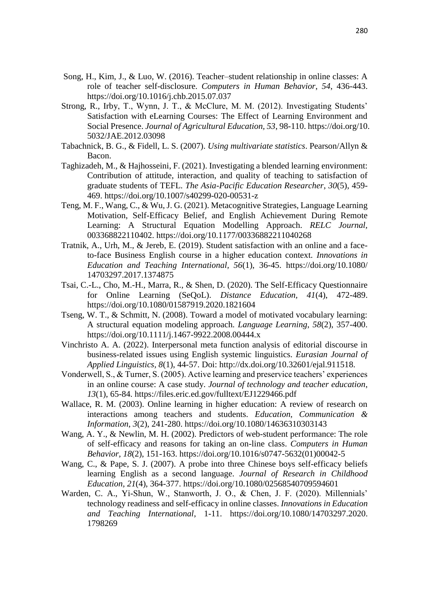- Song, H., Kim, J., & Luo, W. (2016). Teacher–student relationship in online classes: A role of teacher self-disclosure. *Computers in Human Behavior*, *54*, 436-443. https://doi.org/10.1016/j.chb.2015.07.037
- Strong, R., Irby, T., Wynn, J. T., & McClure, M. M. (2012). Investigating Students' Satisfaction with eLearning Courses: The Effect of Learning Environment and Social Presence. *Journal of Agricultural Education, 53*, 98-110. [https://doi.org/10.](https://doi.org/10.%205032/JAE.2012.03098)  [5032/JAE.2012.03098](https://doi.org/10.%205032/JAE.2012.03098)
- Tabachnick, B. G., & Fidell, L. S. (2007). *Using multivariate statistics*. Pearson/Allyn & Bacon.
- Taghizadeh, M., & Hajhosseini, F. (2021). Investigating a blended learning environment: Contribution of attitude, interaction, and quality of teaching to satisfaction of graduate students of TEFL. *The Asia-Pacific Education Researcher*, *30*(5), 459- 469.<https://doi.org/10.1007/s40299-020-00531-z>
- Teng, M. F., Wang, C., & Wu, J. G. (2021). Metacognitive Strategies, Language Learning Motivation, Self-Efficacy Belief, and English Achievement During Remote Learning: A Structural Equation Modelling Approach. *RELC Journal,* 003368822110402.<https://doi.org/10.1177/00336882211040268>
- Tratnik, A., Urh, M., & Jereb, E. (2019). Student satisfaction with an online and a faceto-face Business English course in a higher education context. *Innovations in Education and Teaching International, 56*(1), 36-45. [https://doi.org/10.1080/](https://doi.org/10.1080/%2014703297.2017.1374875)  [14703297.2017.1374875](https://doi.org/10.1080/%2014703297.2017.1374875)
- Tsai, C.-L., Cho, M.-H., Marra, R., & Shen, D. (2020). The Self-Efficacy Questionnaire for Online Learning (SeQoL). *Distance Education, 41*(4), 472-489. <https://doi.org/10.1080/01587919.2020.1821604>
- Tseng, W. T., & Schmitt, N. (2008). Toward a model of motivated vocabulary learning: A structural equation modeling approach. *Language Learning*, *58*(2), 357-400. https://doi.org/10.1111/j.1467-9922.2008.00444.x
- Vinchristo A. A. (2022). Interpersonal meta function analysis of editorial discourse in business-related issues using English systemic linguistics. *Eurasian Journal of Applied Linguistics, 8*(1), 44-57. Doi: http://dx.doi.org/10.32601/ejal.911518.
- Vonderwell, S., & Turner, S. (2005). Active learning and preservice teachers' experiences in an online course: A case study. *Journal of technology and teacher education*, *13*(1), 65-84. https://files.eric.ed.gov/fulltext/EJ1229466.pdf
- Wallace, R. M. (2003). Online learning in higher education: A review of research on interactions among teachers and students. *Education, Communication & Information*, *3*(2), 241-280. https://doi.org/10.1080/14636310303143
- Wang, A. Y., & Newlin, M. H. (2002). Predictors of web-student performance: The role of self-efficacy and reasons for taking an on-line class. *Computers in Human Behavior, 18*(2), 151-163. [https://doi.org/10.1016/s0747-5632\(01\)00042-5](https://doi.org/10.1016/s0747-5632(01)00042-5)
- Wang, C., & Pape, S. J. (2007). A probe into three Chinese boys self-efficacy beliefs learning English as a second language. *Journal of Research in Childhood Education, 21*(4), 364-377.<https://doi.org/10.1080/02568540709594601>
- Warden, C. A., Yi-Shun, W., Stanworth, J. O., & Chen, J. F. (2020). Millennials' technology readiness and self-efficacy in online classes. *Innovations in Education and Teaching International*, 1-11. https://doi.org/10.1080/14703297.2020. 1798269